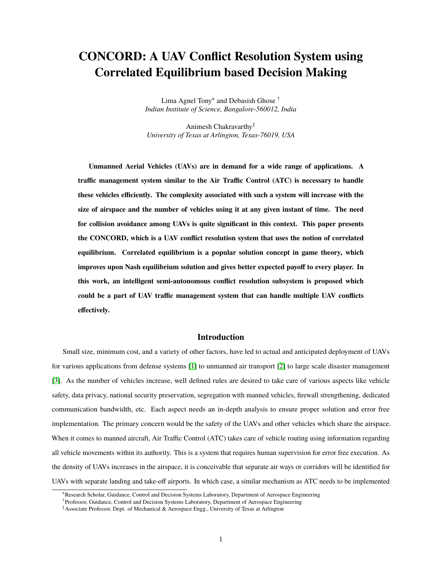# **CONCORD: A UAV Conflict Resolution System using Correlated Equilibrium based Decision Making**

Lima Agnel Tony<sup>∗</sup> and Debasish Ghose † *Indian Institute of Science, Bangalore-560012, India*

Animesh Chakravarthy‡ *University of Texas at Arlington, Texas-76019, USA*

**Unmanned Aerial Vehicles (UAVs) are in demand for a wide range of applications. A traffic management system similar to the Air Traffic Control (ATC) is necessary to handle these vehicles efficiently. The complexity associated with such a system will increase with the size of airspace and the number of vehicles using it at any given instant of time. The need for collision avoidance among UAVs is quite significant in this context. This paper presents the CONCORD, which is a UAV conflict resolution system that uses the notion of correlated equilibrium. Correlated equilibrium is a popular solution concept in game theory, which improves upon Nash equilibrium solution and gives better expected payoff to every player. In this work, an intelligent semi-autonomous conflict resolution subsystem is proposed which could be a part of UAV traffic management system that can handle multiple UAV conflicts effectively.**

## **Introduction**

<span id="page-0-0"></span>Small size, minimum cost, and a variety of other factors, have led to actual and anticipated deployment of UAVs for various applications from defense systems [\[1\]](#page-12-0) to unmanned air transport [\[2\]](#page-12-1) to large scale disaster management [\[3\]](#page-12-2). As the number of vehicles increase, well defined rules are desired to take care of various aspects like vehicle safety, data privacy, national security preservation, segregation with manned vehicles, firewall strengthening, dedicated communication bandwidth, etc. Each aspect needs an in-depth analysis to ensure proper solution and error free implementation. The primary concern would be the safety of the UAVs and other vehicles which share the airspace. When it comes to manned aircraft, Air Traffic Control (ATC) takes care of vehicle routing using information regarding all vehicle movements within its authority. This is a system that requires human supervision for error free execution. As the density of UAVs increases in the airspace, it is conceivable that separate air ways or corridors will be identified for UAVs with separate landing and take-off airports. In which case, a similar mechanism as ATC needs to be implemented

<sup>∗</sup>Research Scholar, Guidance, Control and Decision Systems Laboratory, Department of Aerospace Engineering

<sup>†</sup>Professor, Guidance, Control and Decision Systems Laboratory, Department of Aerospace Engineering

<sup>‡</sup>Associate Professor, Dept. of Mechanical & Aerospace Engg., University of Texas at Arlington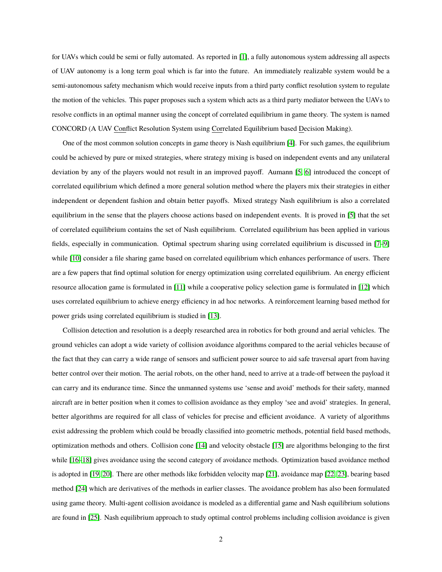for UAVs which could be semi or fully automated. As reported in [\[1\]](#page-12-0), a fully autonomous system addressing all aspects of UAV autonomy is a long term goal which is far into the future. An immediately realizable system would be a semi-autonomous safety mechanism which would receive inputs from a third party conflict resolution system to regulate the motion of the vehicles. This paper proposes such a system which acts as a third party mediator between the UAVs to resolve conflicts in an optimal manner using the concept of correlated equilibrium in game theory. The system is named CONCORD (A UAV Conflict Resolution System using Correlated Equilibrium based Decision Making).

One of the most common solution concepts in game theory is Nash equilibrium [\[4\]](#page-12-3). For such games, the equilibrium could be achieved by pure or mixed strategies, where strategy mixing is based on independent events and any unilateral deviation by any of the players would not result in an improved payoff. Aumann [\[5,](#page-12-4) [6\]](#page-12-5) introduced the concept of correlated equilibrium which defined a more general solution method where the players mix their strategies in either independent or dependent fashion and obtain better payoffs. Mixed strategy Nash equilibrium is also a correlated equilibrium in the sense that the players choose actions based on independent events. It is proved in [\[5\]](#page-12-4) that the set of correlated equilibrium contains the set of Nash equilibrium. Correlated equilibrium has been applied in various fields, especially in communication. Optimal spectrum sharing using correlated equilibrium is discussed in [\[7–](#page-12-6)[9\]](#page-12-7) while [\[10\]](#page-12-8) consider a file sharing game based on correlated equilibrium which enhances performance of users. There are a few papers that find optimal solution for energy optimization using correlated equilibrium. An energy efficient resource allocation game is formulated in [\[11\]](#page-13-0) while a cooperative policy selection game is formulated in [\[12\]](#page-13-1) which uses correlated equilibrium to achieve energy efficiency in ad hoc networks. A reinforcement learning based method for power grids using correlated equilibrium is studied in [\[13\]](#page-13-2).

Collision detection and resolution is a deeply researched area in robotics for both ground and aerial vehicles. The ground vehicles can adopt a wide variety of collision avoidance algorithms compared to the aerial vehicles because of the fact that they can carry a wide range of sensors and sufficient power source to aid safe traversal apart from having better control over their motion. The aerial robots, on the other hand, need to arrive at a trade-off between the payload it can carry and its endurance time. Since the unmanned systems use 'sense and avoid' methods for their safety, manned aircraft are in better position when it comes to collision avoidance as they employ 'see and avoid' strategies. In general, better algorithms are required for all class of vehicles for precise and efficient avoidance. A variety of algorithms exist addressing the problem which could be broadly classified into geometric methods, potential field based methods, optimization methods and others. Collision cone [\[14\]](#page-13-3) and velocity obstacle [\[15\]](#page-13-4) are algorithms belonging to the first while [\[16](#page-13-5)[–18\]](#page-13-6) gives avoidance using the second category of avoidance methods. Optimization based avoidance method is adopted in [\[19,](#page-13-7) [20\]](#page-13-8). There are other methods like forbidden velocity map [\[21\]](#page-13-9), avoidance map [\[22,](#page-13-10) [23\]](#page-13-11), bearing based method [\[24\]](#page-13-12) which are derivatives of the methods in earlier classes. The avoidance problem has also been formulated using game theory. Multi-agent collision avoidance is modeled as a differential game and Nash equilibrium solutions are found in [\[25\]](#page-13-13). Nash equilibrium approach to study optimal control problems including collision avoidance is given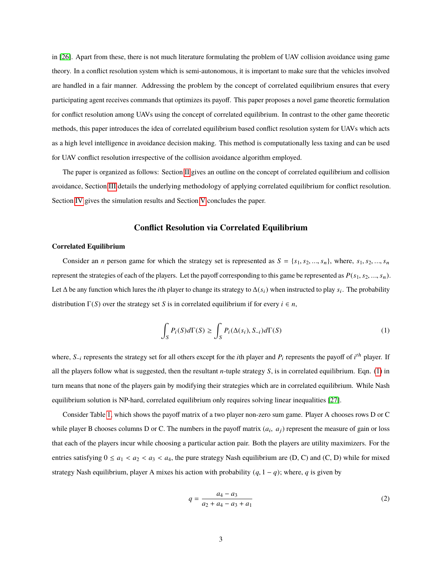in [\[26\]](#page-14-0). Apart from these, there is not much literature formulating the problem of UAV collision avoidance using game theory. In a conflict resolution system which is semi-autonomous, it is important to make sure that the vehicles involved are handled in a fair manner. Addressing the problem by the concept of correlated equilibrium ensures that every participating agent receives commands that optimizes its payoff. This paper proposes a novel game theoretic formulation for conflict resolution among UAVs using the concept of correlated equilibrium. In contrast to the other game theoretic methods, this paper introduces the idea of correlated equilibrium based conflict resolution system for UAVs which acts as a high level intelligence in avoidance decision making. This method is computationally less taxing and can be used for UAV conflict resolution irrespective of the collision avoidance algorithm employed.

The paper is organized as follows: Section [II](#page-2-0) gives an outline on the concept of correlated equilibrium and collision avoidance, Section [III](#page-4-0) details the underlying methodology of applying correlated equilibrium for conflict resolution. Section [IV](#page-8-0) gives the simulation results and Section [V](#page-11-0) concludes the paper.

# **Conflict Resolution via Correlated Equilibrium**

### <span id="page-2-0"></span>**Correlated Equilibrium**

Consider an *n* person game for which the strategy set is represented as  $S = \{s_1, s_2, ..., s_n\}$ , where,  $s_1, s_2, ..., s_n$ represent the strategies of each of the players. Let the payoff corresponding to this game be represented as *<sup>P</sup>*(*s*1, *<sup>s</sup>*2, ..., *<sup>s</sup>*n). Let ∆ be any function which lures the *i*th player to change its strategy to ∆(*s*i) when instructed to play *s*<sup>i</sup> . The probability distribution  $\Gamma(S)$  over the strategy set *S* is in correlated equilibrium if for every  $i \in n$ ,

<span id="page-2-1"></span>
$$
\int_{S} P_{i}(S)d\Gamma(S) \ge \int_{S} P_{i}(\Delta(s_{i}), S_{-i})d\Gamma(S)
$$
\n(1)

where,  $S_{-i}$  represents the strategy set for all others except for the *i*th player and  $P_i$  represents the payoff of *i*<sup>th</sup> player. If all the players follow what is suggested, then the resultant  $n$ -tuple strategy  $S$ , is in correlated equilibrium. Eqn. [\(1\)](#page-2-1) in turn means that none of the players gain by modifying their strategies which are in correlated equilibrium. While Nash equilibrium solution is NP-hard, correlated equilibrium only requires solving linear inequalities [\[27\]](#page-14-1).

Consider Table [1,](#page-3-0) which shows the payoff matrix of a two player non-zero sum game. Player A chooses rows D or C while player B chooses columns D or C. The numbers in the payoff matrix  $(a_i, a_j)$  represent the measure of gain or loss that each of the players incur while choosing a particular action pair. Both the players are utility maximizers. For the entries satisfying  $0 \le a_1 < a_2 < a_3 < a_4$ , the pure strategy Nash equilibrium are (D, C) and (C, D) while for mixed strategy Nash equilibrium, player A mixes his action with probability  $(q, 1 - q)$ ; where, q is given by

<span id="page-2-2"></span>
$$
q = \frac{a_4 - a_3}{a_2 + a_4 - a_3 + a_1} \tag{2}
$$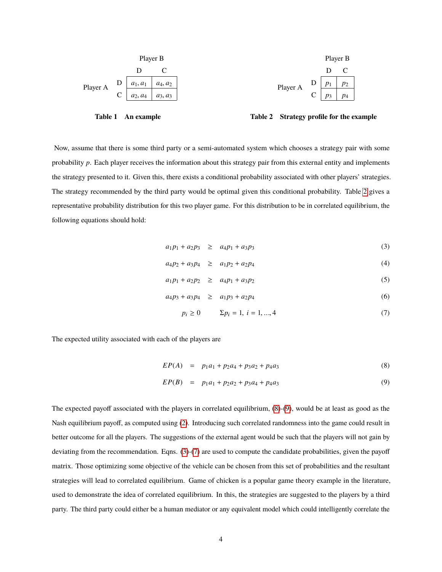<span id="page-3-0"></span>

**Table 1 An example**

**Table 2 Strategy profile for the example**

Now, assume that there is some third party or a semi-automated system which chooses a strategy pair with some probability *p*. Each player receives the information about this strategy pair from this external entity and implements the strategy presented to it. Given this, there exists a conditional probability associated with other players' strategies. The strategy recommended by the third party would be optimal given this conditional probability. Table [2](#page-3-0) gives a representative probability distribution for this two player game. For this distribution to be in correlated equilibrium, the following equations should hold:

<span id="page-3-2"></span>
$$
a_1p_1 + a_2p_3 \geq a_4p_1 + a_3p_3 \tag{3}
$$

$$
a_4p_2 + a_3p_4 \geq a_1p_2 + a_2p_4 \tag{4}
$$

$$
a_1p_1 + a_2p_2 \geq a_4p_1 + a_3p_2 \tag{5}
$$

$$
a_4p_3 + a_3p_4 \geq a_1p_3 + a_2p_4 \tag{6}
$$

$$
p_i \ge 0 \qquad \Sigma p_i = 1, \ i = 1, ..., 4 \tag{7}
$$

The expected utility associated with each of the players are

<span id="page-3-1"></span>
$$
EP(A) = p_1a_1 + p_2a_4 + p_3a_2 + p_4a_3 \tag{8}
$$

$$
EP(B) = p_1a_1 + p_2a_2 + p_3a_4 + p_4a_3 \tag{9}
$$

The expected payoff associated with the players in correlated equilibrium, [\(8\)](#page-3-1)-[\(9\)](#page-3-1), would be at least as good as the Nash equilibrium payoff, as computed using [\(2\)](#page-2-2). Introducing such correlated randomness into the game could result in better outcome for all the players. The suggestions of the external agent would be such that the players will not gain by deviating from the recommendation. Eqns. [\(3\)](#page-3-2)-[\(7\)](#page-3-2) are used to compute the candidate probabilities, given the payoff matrix. Those optimizing some objective of the vehicle can be chosen from this set of probabilities and the resultant strategies will lead to correlated equilibrium. Game of chicken is a popular game theory example in the literature, used to demonstrate the idea of correlated equilibrium. In this, the strategies are suggested to the players by a third party. The third party could either be a human mediator or any equivalent model which could intelligently correlate the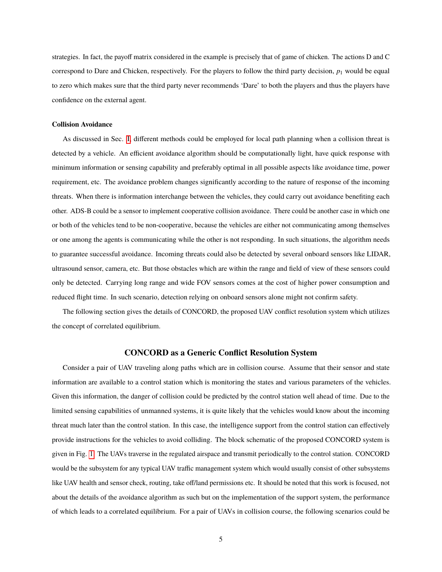strategies. In fact, the payoff matrix considered in the example is precisely that of game of chicken. The actions D and C correspond to Dare and Chicken, respectively. For the players to follow the third party decision,  $p_1$  would be equal to zero which makes sure that the third party never recommends 'Dare' to both the players and thus the players have confidence on the external agent.

#### **Collision Avoidance**

As discussed in Sec. [I,](#page-0-0) different methods could be employed for local path planning when a collision threat is detected by a vehicle. An efficient avoidance algorithm should be computationally light, have quick response with minimum information or sensing capability and preferably optimal in all possible aspects like avoidance time, power requirement, etc. The avoidance problem changes significantly according to the nature of response of the incoming threats. When there is information interchange between the vehicles, they could carry out avoidance benefiting each other. ADS-B could be a sensor to implement cooperative collision avoidance. There could be another case in which one or both of the vehicles tend to be non-cooperative, because the vehicles are either not communicating among themselves or one among the agents is communicating while the other is not responding. In such situations, the algorithm needs to guarantee successful avoidance. Incoming threats could also be detected by several onboard sensors like LIDAR, ultrasound sensor, camera, etc. But those obstacles which are within the range and field of view of these sensors could only be detected. Carrying long range and wide FOV sensors comes at the cost of higher power consumption and reduced flight time. In such scenario, detection relying on onboard sensors alone might not confirm safety.

The following section gives the details of CONCORD, the proposed UAV conflict resolution system which utilizes the concept of correlated equilibrium.

# **CONCORD as a Generic Conflict Resolution System**

<span id="page-4-0"></span>Consider a pair of UAV traveling along paths which are in collision course. Assume that their sensor and state information are available to a control station which is monitoring the states and various parameters of the vehicles. Given this information, the danger of collision could be predicted by the control station well ahead of time. Due to the limited sensing capabilities of unmanned systems, it is quite likely that the vehicles would know about the incoming threat much later than the control station. In this case, the intelligence support from the control station can effectively provide instructions for the vehicles to avoid colliding. The block schematic of the proposed CONCORD system is given in Fig. [1.](#page-5-0) The UAVs traverse in the regulated airspace and transmit periodically to the control station. CONCORD would be the subsystem for any typical UAV traffic management system which would usually consist of other subsystems like UAV health and sensor check, routing, take off/land permissions etc. It should be noted that this work is focused, not about the details of the avoidance algorithm as such but on the implementation of the support system, the performance of which leads to a correlated equilibrium. For a pair of UAVs in collision course, the following scenarios could be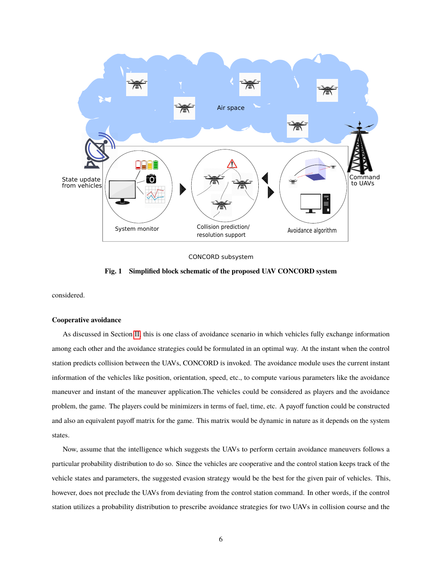<span id="page-5-0"></span>

CONCORD subsystem

**Fig. 1 Simplified block schematic of the proposed UAV CONCORD system**

considered.

#### **Cooperative avoidance**

As discussed in Section [II,](#page-2-0) this is one class of avoidance scenario in which vehicles fully exchange information among each other and the avoidance strategies could be formulated in an optimal way. At the instant when the control station predicts collision between the UAVs, CONCORD is invoked. The avoidance module uses the current instant information of the vehicles like position, orientation, speed, etc., to compute various parameters like the avoidance maneuver and instant of the maneuver application.The vehicles could be considered as players and the avoidance problem, the game. The players could be minimizers in terms of fuel, time, etc. A payoff function could be constructed and also an equivalent payoff matrix for the game. This matrix would be dynamic in nature as it depends on the system states.

Now, assume that the intelligence which suggests the UAVs to perform certain avoidance maneuvers follows a particular probability distribution to do so. Since the vehicles are cooperative and the control station keeps track of the vehicle states and parameters, the suggested evasion strategy would be the best for the given pair of vehicles. This, however, does not preclude the UAVs from deviating from the control station command. In other words, if the control station utilizes a probability distribution to prescribe avoidance strategies for two UAVs in collision course and the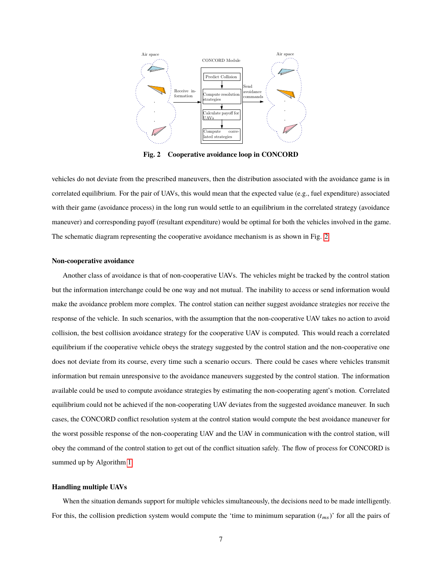<span id="page-6-0"></span>

**Fig. 2 Cooperative avoidance loop in CONCORD**

vehicles do not deviate from the prescribed maneuvers, then the distribution associated with the avoidance game is in correlated equilibrium. For the pair of UAVs, this would mean that the expected value (e.g., fuel expenditure) associated with their game (avoidance process) in the long run would settle to an equilibrium in the correlated strategy (avoidance maneuver) and corresponding payoff (resultant expenditure) would be optimal for both the vehicles involved in the game. The schematic diagram representing the cooperative avoidance mechanism is as shown in Fig. [2.](#page-6-0)

#### **Non-cooperative avoidance**

Another class of avoidance is that of non-cooperative UAVs. The vehicles might be tracked by the control station but the information interchange could be one way and not mutual. The inability to access or send information would make the avoidance problem more complex. The control station can neither suggest avoidance strategies nor receive the response of the vehicle. In such scenarios, with the assumption that the non-cooperative UAV takes no action to avoid collision, the best collision avoidance strategy for the cooperative UAV is computed. This would reach a correlated equilibrium if the cooperative vehicle obeys the strategy suggested by the control station and the non-cooperative one does not deviate from its course, every time such a scenario occurs. There could be cases where vehicles transmit information but remain unresponsive to the avoidance maneuvers suggested by the control station. The information available could be used to compute avoidance strategies by estimating the non-cooperating agent's motion. Correlated equilibrium could not be achieved if the non-cooperating UAV deviates from the suggested avoidance maneuver. In such cases, the CONCORD conflict resolution system at the control station would compute the best avoidance maneuver for the worst possible response of the non-cooperating UAV and the UAV in communication with the control station, will obey the command of the control station to get out of the conflict situation safely. The flow of process for CONCORD is summed up by Algorithm [1.](#page-7-0)

#### **Handling multiple UAVs**

When the situation demands support for multiple vehicles simultaneously, the decisions need to be made intelligently. For this, the collision prediction system would compute the 'time to minimum separation  $(t_{ms})$ ' for all the pairs of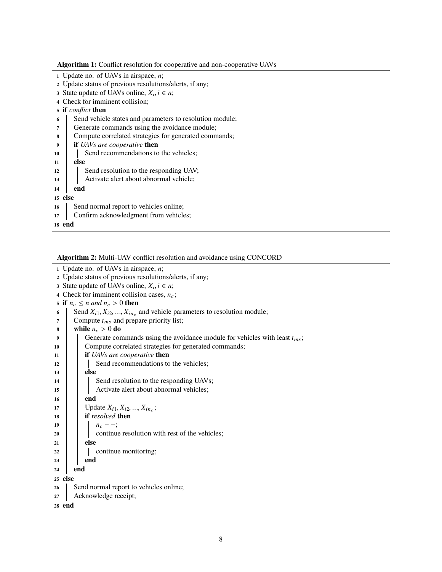|         | <b>Algorithm 1:</b> Conflict resolution for cooperative and non-cooperative UAVs |  |  |  |  |  |  |
|---------|----------------------------------------------------------------------------------|--|--|--|--|--|--|
|         | 1 Update no. of UAVs in airspace, $n$ ;                                          |  |  |  |  |  |  |
|         | 2 Update status of previous resolutions/alerts, if any;                          |  |  |  |  |  |  |
|         | 3 State update of UAVs online, $X_i, i \in n$ ;                                  |  |  |  |  |  |  |
|         | 4 Check for imminent collision;                                                  |  |  |  |  |  |  |
|         | 5 if <i>conflict</i> then                                                        |  |  |  |  |  |  |
| 6       | Send vehicle states and parameters to resolution module;                         |  |  |  |  |  |  |
| 7       | Generate commands using the avoidance module;                                    |  |  |  |  |  |  |
| 8       | Compute correlated strategies for generated commands;                            |  |  |  |  |  |  |
| 9       | <b>if</b> UAVs are cooperative <b>then</b>                                       |  |  |  |  |  |  |
| 10      | Send recommendations to the vehicles;                                            |  |  |  |  |  |  |
| 11      | else                                                                             |  |  |  |  |  |  |
| 12      | Send resolution to the responding UAV;                                           |  |  |  |  |  |  |
| 13      | Activate alert about abnormal vehicle;                                           |  |  |  |  |  |  |
| 14      | end                                                                              |  |  |  |  |  |  |
| 15 else |                                                                                  |  |  |  |  |  |  |
| 16      | Send normal report to vehicles online;                                           |  |  |  |  |  |  |
| 17      | Confirm acknowledgment from vehicles;                                            |  |  |  |  |  |  |

<span id="page-7-0"></span>**end**

|  | <b>Algorithm 2:</b> Multi-UAV conflict resolution and avoidance using CONCORD |  |
|--|-------------------------------------------------------------------------------|--|
|--|-------------------------------------------------------------------------------|--|

```
1 Update no. of UAVs in airspace, n;
```

|  |  |  |  |  | 2 Update status of previous resolutions/alerts, if any; |  |  |  |
|--|--|--|--|--|---------------------------------------------------------|--|--|--|
|--|--|--|--|--|---------------------------------------------------------|--|--|--|

```
3 State update of UAVs online, X_i, i \in n;<br>
4 Check for imminent collision cases n
```
- **4** Check for imminent collision cases,  $n_c$ ;
- 
- **5 if**  $n_c \le n$  *and*  $n_c > 0$  **then**<br>**6** Send  $X_{i1}, X_{i2}, ..., X_{in_c}$ 6 Send  $X_{i1}, X_{i2}, ..., X_{in_c}$  and vehicle parameters to resolution module;<br>Compute the and prepare priority list:
- **7** Compute  $t_{ms}$  and prepare priority list;

|  | while $n_c > 0$ do |  |  |  |  |
|--|--------------------|--|--|--|--|
|--|--------------------|--|--|--|--|

```
8 while n_c > 0 do<br>9 Generate commands using the avoidance module for vehicles with least t_{ms};
```
- 10 Compute correlated strategies for generated commands;
- **if** *UAVs are cooperative* **then**
- 12 | Send recommendations to the vehicles;
- **else**
- 14 | | Send resolution to the responding UAVs;

```
15 | | | Activate alert about abnormal vehicles;
```
- **end**
- 17 Update  $X_{i1}, X_{i2}, ..., X_{in_c}$ ;<br> **if** resolved then

```
18 if resolved then
```

```
19 | n_c − −;
```
**continue resolution with rest of the vehicles;** 

- **else**
- **continue monitoring**;
- **end**
- **end**

**else**

- 26 Send normal report to vehicles online;
- Acknowledge receipt;

<span id="page-7-1"></span>**end**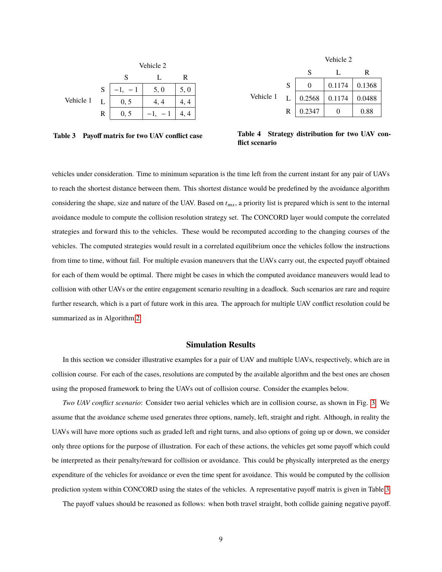<span id="page-8-1"></span>

| Vehicle 2<br>S<br>L<br>S<br>R<br>S<br>0.1174<br>$\theta$<br>S<br>5, 0<br>5, 0<br>$-1$<br>Vehicle 1<br>0.2568<br>0.1174<br>L<br>0, 5<br>4, 4<br>4, 4 |           |  |  |  | Vehicle 2 |
|-----------------------------------------------------------------------------------------------------------------------------------------------------|-----------|--|--|--|-----------|
|                                                                                                                                                     |           |  |  |  |           |
|                                                                                                                                                     |           |  |  |  |           |
|                                                                                                                                                     | Vehicle 1 |  |  |  |           |

**Table 3 Payoff matrix for two UAV conflict case**

**Table 4 Strategy distribution for two UAV conflict scenario**

vehicles under consideration. Time to minimum separation is the time left from the current instant for any pair of UAVs to reach the shortest distance between them. This shortest distance would be predefined by the avoidance algorithm considering the shape, size and nature of the UAV. Based on *t*ms, a priority list is prepared which is sent to the internal avoidance module to compute the collision resolution strategy set. The CONCORD layer would compute the correlated strategies and forward this to the vehicles. These would be recomputed according to the changing courses of the vehicles. The computed strategies would result in a correlated equilibrium once the vehicles follow the instructions from time to time, without fail. For multiple evasion maneuvers that the UAVs carry out, the expected payoff obtained for each of them would be optimal. There might be cases in which the computed avoidance maneuvers would lead to collision with other UAVs or the entire engagement scenario resulting in a deadlock. Such scenarios are rare and require further research, which is a part of future work in this area. The approach for multiple UAV conflict resolution could be summarized as in Algorithm [2.](#page-7-1)

# **Simulation Results**

<span id="page-8-0"></span>In this section we consider illustrative examples for a pair of UAV and multiple UAVs, respectively, which are in collision course. For each of the cases, resolutions are computed by the available algorithm and the best ones are chosen using the proposed framework to bring the UAVs out of collision course. Consider the examples below.

*Two UAV conflict scenario*: Consider two aerial vehicles which are in collision course, as shown in Fig. [3.](#page-9-0) We assume that the avoidance scheme used generates three options, namely, left, straight and right. Although, in reality the UAVs will have more options such as graded left and right turns, and also options of going up or down, we consider only three options for the purpose of illustration. For each of these actions, the vehicles get some payoff which could be interpreted as their penalty/reward for collision or avoidance. This could be physically interpreted as the energy expenditure of the vehicles for avoidance or even the time spent for avoidance. This would be computed by the collision prediction system within CONCORD using the states of the vehicles. A representative payoff matrix is given in Table [3.](#page-8-1)

The payoff values should be reasoned as follows: when both travel straight, both collide gaining negative payoff.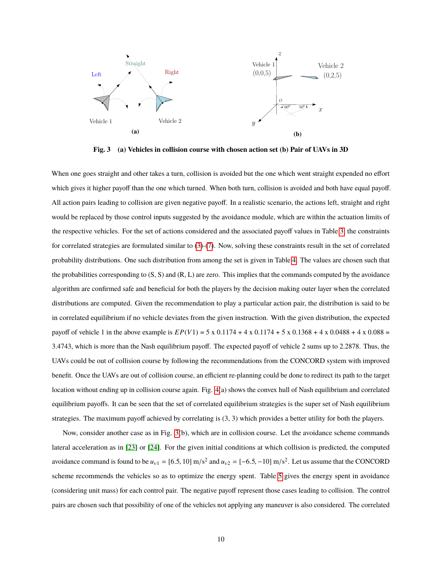<span id="page-9-0"></span>

**Fig. 3 (a) Vehicles in collision course with chosen action set (b) Pair of UAVs in 3D**

When one goes straight and other takes a turn, collision is avoided but the one which went straight expended no effort which gives it higher payoff than the one which turned. When both turn, collision is avoided and both have equal payoff. All action pairs leading to collision are given negative payoff. In a realistic scenario, the actions left, straight and right would be replaced by those control inputs suggested by the avoidance module, which are within the actuation limits of the respective vehicles. For the set of actions considered and the associated payoff values in Table [3,](#page-8-1) the constraints for correlated strategies are formulated similar to [\(3\)](#page-3-2)-[\(7\)](#page-3-2). Now, solving these constraints result in the set of correlated probability distributions. One such distribution from among the set is given in Table [4.](#page-8-1) The values are chosen such that the probabilities corresponding to  $(S, S)$  and  $(R, L)$  are zero. This implies that the commands computed by the avoidance algorithm are confirmed safe and beneficial for both the players by the decision making outer layer when the correlated distributions are computed. Given the recommendation to play a particular action pair, the distribution is said to be in correlated equilibrium if no vehicle deviates from the given instruction. With the given distribution, the expected payoff of vehicle 1 in the above example is *EP*(*V*1) = 5 x 0.1174 + 4 x 0.1174 + 5 x 0.1368 + 4 x 0.0488 + 4 x 0.088 = 3.4743, which is more than the Nash equilibrium payoff. The expected payoff of vehicle 2 sums up to 2.2878. Thus, the UAVs could be out of collision course by following the recommendations from the CONCORD system with improved benefit. Once the UAVs are out of collision course, an efficient re-planning could be done to redirect its path to the target location without ending up in collision course again. Fig. [4\(](#page-10-0)a) shows the convex hull of Nash equilibrium and correlated equilibrium payoffs. It can be seen that the set of correlated equilibrium strategies is the super set of Nash equilibrium strategies. The maximum payoff achieved by correlating is (3, 3) which provides a better utility for both the players.

Now, consider another case as in Fig. [3\(](#page-9-0)b), which are in collision course. Let the avoidance scheme commands lateral acceleration as in [\[23\]](#page-13-11) or [\[24\]](#page-13-12). For the given initial conditions at which collision is predicted, the computed avoidance command is found to be  $u_{v1} = [6.5, 10] \text{ m/s}^2$  and  $u_{v2} = [-6.5, -10] \text{ m/s}^2$ . Let us assume that the CONCORD scheme recommends the vehicles so as to optimize the energy spent. Table [5](#page-10-1) gives the energy spent in avoidance (considering unit mass) for each control pair. The negative payoff represent those cases leading to collision. The control pairs are chosen such that possibility of one of the vehicles not applying any maneuver is also considered. The correlated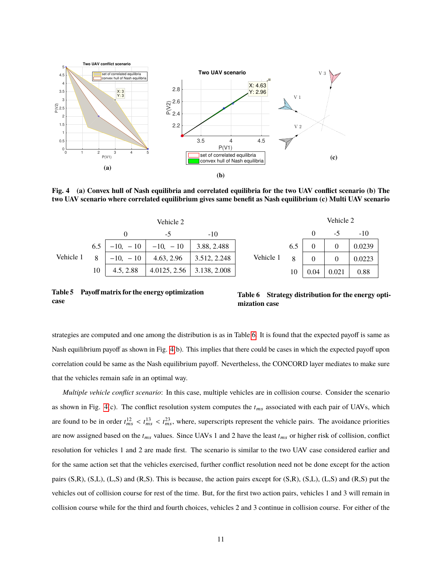<span id="page-10-0"></span>

**Fig. 4 (a) Convex hull of Nash equilibria and correlated equilibria for the two UAV conflict scenario (b) The two UAV scenario where correlated equilibrium gives same benefit as Nash equilibrium (c) Multi UAV scenario**

<span id="page-10-1"></span>

|           |     |            | Vehicle 2    |              |           |     |      | Vehicle 2 |        |
|-----------|-----|------------|--------------|--------------|-----------|-----|------|-----------|--------|
|           |     |            | -5           | $-10$        |           |     |      | -5        | $-10$  |
|           | 6.5 | $-10, -10$ | $-10, -10$   | 3.88, 2.488  |           | 6.5 |      |           | 0.0239 |
| Vehicle 1 | 8   | $-10, -10$ | 4.63, 2.96   | 3.512, 2.248 | Vehicle 1 | 8   |      |           | 0.0223 |
|           | 10  | 4.5, 2.88  | 4.0125, 2.56 | 3.138, 2.008 |           | 10  | 0.04 | 0.021     | 0.88   |

**Table 5 Payoff matrix for the energy optimization case**



strategies are computed and one among the distribution is as in Table [6.](#page-10-1) It is found that the expected payoff is same as Nash equilibrium payoff as shown in Fig. [4\(](#page-10-0)b). This implies that there could be cases in which the expected payoff upon correlation could be same as the Nash equilibrium payoff. Nevertheless, the CONCORD layer mediates to make sure that the vehicles remain safe in an optimal way.

*Multiple vehicle conflict scenario*: In this case, multiple vehicles are in collision course. Consider the scenario as shown in Fig. [4\(](#page-10-0)c). The conflict resolution system computes the  $t_{ms}$  associated with each pair of UAVs, which are found to be in order  $t_{ms}^{12} < t_{ms}^{13} < t_{ms}^{23}$ , where, superscripts represent the vehicle pairs. The avoidance priorities are now assigned based on the  $t_{ms}$  values. Since UAVs 1 and 2 have the least  $t_{ms}$  or higher risk of collision, conflict resolution for vehicles 1 and 2 are made first. The scenario is similar to the two UAV case considered earlier and for the same action set that the vehicles exercised, further conflict resolution need not be done except for the action pairs (S,R), (S,L), (L,S) and (R,S). This is because, the action pairs except for (S,R), (S,L), (L,S) and (R,S) put the vehicles out of collision course for rest of the time. But, for the first two action pairs, vehicles 1 and 3 will remain in collision course while for the third and fourth choices, vehicles 2 and 3 continue in collision course. For either of the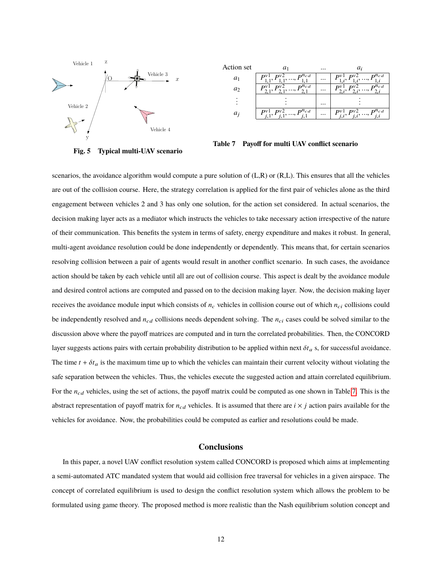<span id="page-11-1"></span>

| Action set | $a_1$                                        | $\cdots$ | $a_i$     |
|------------|----------------------------------------------|----------|-----------|
| $a_1$      | $\mathbf{D}v^{\gamma}$<br>$\mathbf{D}^n c d$ | $\cdots$ | $n_{c,d}$ |
| $a_2$      | $n_{cd}$                                     | $\cdots$ | n p c d   |
| ٠          |                                              | $\cdots$ |           |
| $a_i$      | $\bm{D^{\mathcal{H}_Cd}}$                    | $\cdots$ | $n_{cd}$  |
|            |                                              |          |           |

**Fig. 5 Typical multi-UAV scenario**

**Table 7 Payoff for multi UAV conflict scenario**

scenarios, the avoidance algorithm would compute a pure solution of  $(L,R)$  or  $(R,L)$ . This ensures that all the vehicles are out of the collision course. Here, the strategy correlation is applied for the first pair of vehicles alone as the third engagement between vehicles 2 and 3 has only one solution, for the action set considered. In actual scenarios, the decision making layer acts as a mediator which instructs the vehicles to take necessary action irrespective of the nature of their communication. This benefits the system in terms of safety, energy expenditure and makes it robust. In general, multi-agent avoidance resolution could be done independently or dependently. This means that, for certain scenarios resolving collision between a pair of agents would result in another conflict scenario. In such cases, the avoidance action should be taken by each vehicle until all are out of collision course. This aspect is dealt by the avoidance module and desired control actions are computed and passed on to the decision making layer. Now, the decision making layer receives the avoidance module input which consists of  $n_c$  vehicles in collision course out of which  $n_{ci}$  collisions could be independently resolved and *n<sub>cd</sub>* collisions needs dependent solving. The *n<sub>ci</sub>* cases could be solved similar to the discussion above where the payoff matrices are computed and in turn the correlated probabilities. Then, the CONCORD layer suggests actions pairs with certain probability distribution to be applied within next  $\delta t_a$  s, for successful avoidance. The time  $t + \delta t_a$  is the maximum time up to which the vehicles can maintain their current velocity without violating the safe separation between the vehicles. Thus, the vehicles execute the suggested action and attain correlated equilibrium. For the *n<sub>cd</sub>* vehicles, using the set of actions, the payoff matrix could be computed as one shown in Table [7.](#page-11-1) This is the abstract representation of payoff matrix for  $n_{cd}$  vehicles. It is assumed that there are  $i \times j$  action pairs available for the vehicles for avoidance. Now, the probabilities could be computed as earlier and resolutions could be made.

# **Conclusions**

<span id="page-11-0"></span>In this paper, a novel UAV conflict resolution system called CONCORD is proposed which aims at implementing a semi-automated ATC mandated system that would aid collision free traversal for vehicles in a given airspace. The concept of correlated equilibrium is used to design the conflict resolution system which allows the problem to be formulated using game theory. The proposed method is more realistic than the Nash equilibrium solution concept and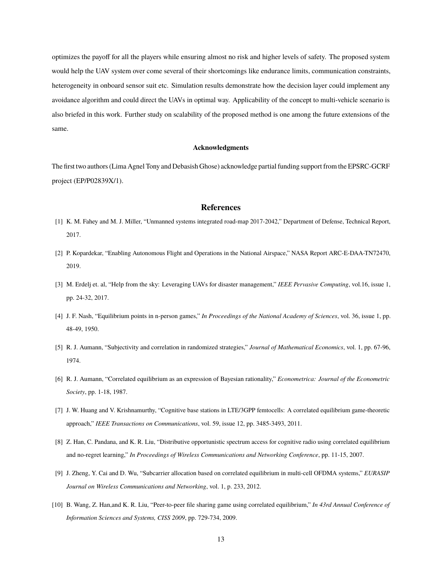optimizes the payoff for all the players while ensuring almost no risk and higher levels of safety. The proposed system would help the UAV system over come several of their shortcomings like endurance limits, communication constraints, heterogeneity in onboard sensor suit etc. Simulation results demonstrate how the decision layer could implement any avoidance algorithm and could direct the UAVs in optimal way. Applicability of the concept to multi-vehicle scenario is also briefed in this work. Further study on scalability of the proposed method is one among the future extensions of the same.

#### **Acknowledgments**

The first two authors (Lima Agnel Tony and Debasish Ghose) acknowledge partial funding support from the EPSRC-GCRF project (EP/P02839X/1).

# **References**

- <span id="page-12-0"></span>[1] K. M. Fahey and M. J. Miller, "Unmanned systems integrated road-map 2017-2042," Department of Defense, Technical Report, 2017.
- <span id="page-12-1"></span>[2] P. Kopardekar, "Enabling Autonomous Flight and Operations in the National Airspace," NASA Report ARC-E-DAA-TN72470, 2019.
- <span id="page-12-2"></span>[3] M. Erdelj et. al, "Help from the sky: Leveraging UAVs for disaster management," *IEEE Pervasive Computing*, vol.16, issue 1, pp. 24-32, 2017.
- <span id="page-12-3"></span>[4] J. F. Nash, "Equilibrium points in n-person games," *In Proceedings of the National Academy of Sciences*, vol. 36, issue 1, pp. 48-49, 1950.
- <span id="page-12-4"></span>[5] R. J. Aumann, "Subjectivity and correlation in randomized strategies," *Journal of Mathematical Economics*, vol. 1, pp. 67-96, 1974.
- <span id="page-12-5"></span>[6] R. J. Aumann, "Correlated equilibrium as an expression of Bayesian rationality," *Econometrica: Journal of the Econometric Society*, pp. 1-18, 1987.
- <span id="page-12-6"></span>[7] J. W. Huang and V. Krishnamurthy, "Cognitive base stations in LTE/3GPP femtocells: A correlated equilibrium game-theoretic approach," *IEEE Transactions on Communications*, vol. 59, issue 12, pp. 3485-3493, 2011.
- [8] Z. Han, C. Pandana, and K. R. Liu, "Distributive opportunistic spectrum access for cognitive radio using correlated equilibrium and no-regret learning," *In Proceedings of Wireless Communications and Networking Conference*, pp. 11-15, 2007.
- <span id="page-12-7"></span>[9] J. Zheng, Y. Cai and D. Wu, "Subcarrier allocation based on correlated equilibrium in multi-cell OFDMA systems," *EURASIP Journal on Wireless Communications and Networking*, vol. 1, p. 233, 2012.
- <span id="page-12-8"></span>[10] B. Wang, Z. Han,and K. R. Liu, "Peer-to-peer file sharing game using correlated equilibrium," *In 43rd Annual Conference of Information Sciences and Systems, CISS 2009*, pp. 729-734, 2009.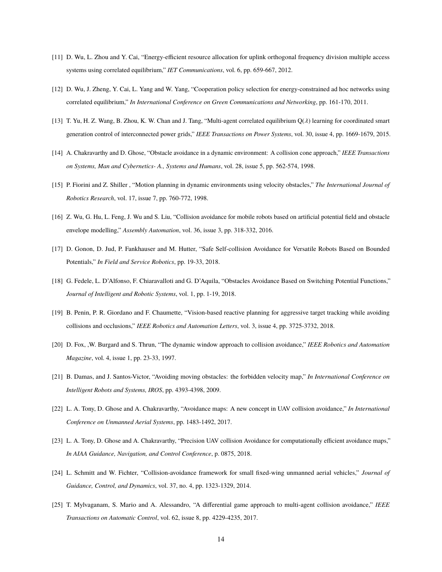- <span id="page-13-0"></span>[11] D. Wu, L. Zhou and Y. Cai, "Energy-efficient resource allocation for uplink orthogonal frequency division multiple access systems using correlated equilibrium," *IET Communications*, vol. 6, pp. 659-667, 2012.
- <span id="page-13-1"></span>[12] D. Wu, J. Zheng, Y. Cai, L. Yang and W. Yang, "Cooperation policy selection for energy-constrained ad hoc networks using correlated equilibrium," *In International Conference on Green Communications and Networking*, pp. 161-170, 2011.
- <span id="page-13-2"></span>[13] T. Yu, H. Z. Wang, B. Zhou, K. W. Chan and J. Tang, "Multi-agent correlated equilibrium Q(λ) learning for coordinated smart generation control of interconnected power grids," *IEEE Transactions on Power Systems*, vol. 30, issue 4, pp. 1669-1679, 2015.
- <span id="page-13-3"></span>[14] A. Chakravarthy and D. Ghose, "Obstacle avoidance in a dynamic environment: A collision cone approach," *IEEE Transactions on Systems, Man and Cybernetics- A., Systems and Humans*, vol. 28, issue 5, pp. 562-574, 1998.
- <span id="page-13-4"></span>[15] P. Fiorini and Z. Shiller , "Motion planning in dynamic environments using velocity obstacles," *The International Journal of Robotics Research*, vol. 17, issue 7, pp. 760-772, 1998.
- <span id="page-13-5"></span>[16] Z. Wu, G. Hu, L. Feng, J. Wu and S. Liu, "Collision avoidance for mobile robots based on artificial potential field and obstacle envelope modelling," *Assembly Automation*, vol. 36, issue 3, pp. 318-332, 2016.
- [17] D. Gonon, D. Jud, P. Fankhauser and M. Hutter, "Safe Self-collision Avoidance for Versatile Robots Based on Bounded Potentials," *In Field and Service Robotics*, pp. 19-33, 2018.
- <span id="page-13-6"></span>[18] G. Fedele, L. D'Alfonso, F. Chiaravalloti and G. D'Aquila, "Obstacles Avoidance Based on Switching Potential Functions," *Journal of Intelligent and Robotic Systems*, vol. 1, pp. 1-19, 2018.
- <span id="page-13-7"></span>[19] B. Penin, P. R. Giordano and F. Chaumette, "Vision-based reactive planning for aggressive target tracking while avoiding collisions and occlusions," *IEEE Robotics and Automation Letters*, vol. 3, issue 4, pp. 3725-3732, 2018.
- <span id="page-13-8"></span>[20] D. Fox, ,W. Burgard and S. Thrun, "The dynamic window approach to collision avoidance," *IEEE Robotics and Automation Magazine*, vol. 4, issue 1, pp. 23-33, 1997.
- <span id="page-13-9"></span>[21] B. Damas, and J. Santos-Victor, "Avoiding moving obstacles: the forbidden velocity map," *In International Conference on Intelligent Robots and Systems, IROS*, pp. 4393-4398, 2009.
- <span id="page-13-10"></span>[22] L. A. Tony, D. Ghose and A. Chakravarthy, "Avoidance maps: A new concept in UAV collision avoidance," *In International Conference on Unmanned Aerial Systems*, pp. 1483-1492, 2017.
- <span id="page-13-11"></span>[23] L. A. Tony, D. Ghose and A. Chakravarthy, "Precision UAV collision Avoidance for computationally efficient avoidance maps," *In AIAA Guidance, Navigation, and Control Conference*, p. 0875, 2018.
- <span id="page-13-12"></span>[24] L. Schmitt and W. Fichter, "Collision-avoidance framework for small fixed-wing unmanned aerial vehicles," *Journal of Guidance, Control, and Dynamics*, vol. 37, no. 4, pp. 1323-1329, 2014.
- <span id="page-13-13"></span>[25] T. Mylvaganam, S. Mario and A. Alessandro, "A differential game approach to multi-agent collision avoidance," *IEEE Transactions on Automatic Control*, vol. 62, issue 8, pp. 4229-4235, 2017.